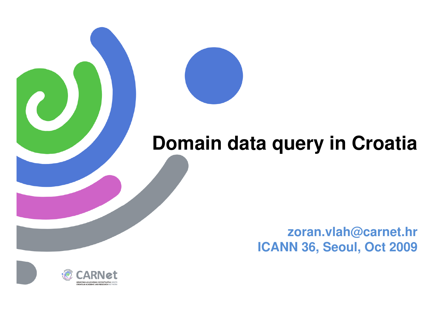

## **Domain data query in Croatia**

**zoran.vlah@carnet.hr ICANN 36, Seoul, Oct 2009**

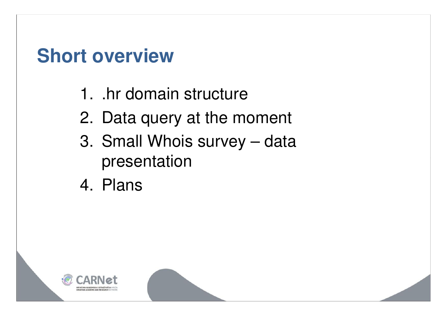## **Short overview**

- 1. .hr domain structure
- 2. Data query at the moment
- 3. Small Whois survey data presentation
- 4. Plans

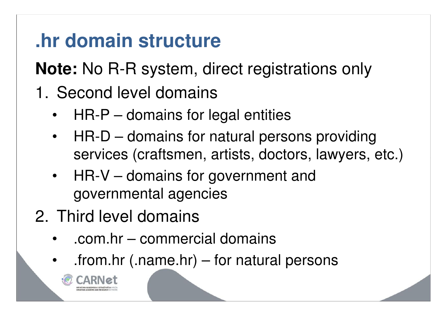## **.hr domain structure**

**Note:** No R-R system, direct registrations only

- 1. Second level domains
	- HR-P domains for legal entities
	- HR-D domains for natural persons providing services (craftsmen, artists, doctors, lawyers, etc.)
	- HR-V domains for government and governmental agencies
- 2. Third level domains
	- .com.hr commercial domains
	- $-$  .from.hr (.name.hr) for natural persons

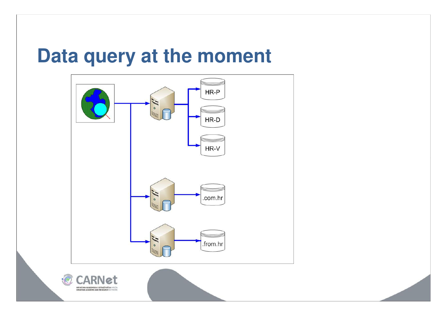#### **Data query at the moment**

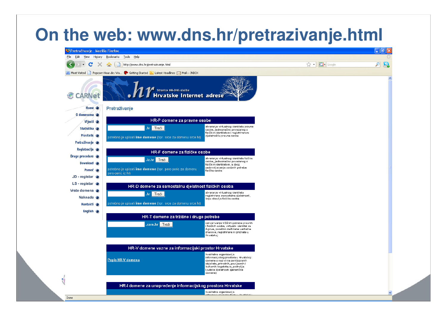#### **On the web: www.dns.hr/pretrazivanje.html**

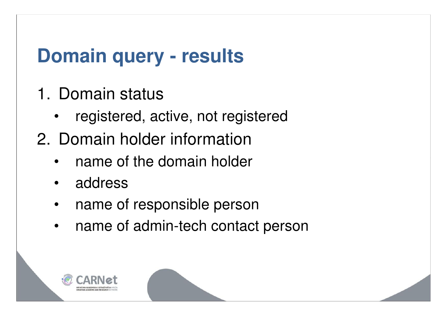## **Domain query - results**

- 1. Domain status
	- registered, active, not registered
- 2. Domain holder information
	- name of the domain holder
	- address
	- name of responsible person
	- name of admin-tech contact person

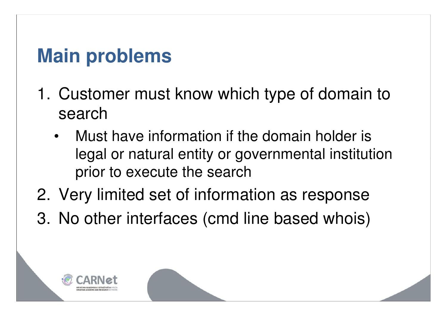## **Main problems**

- 1. Customer must know which type of domain to search
	- Must have information if the domain holder is legal or natural entity or governmental institution prior to execute the search
- 2. Very limited set of information as response
- 3. No other interfaces (cmd line based whois)

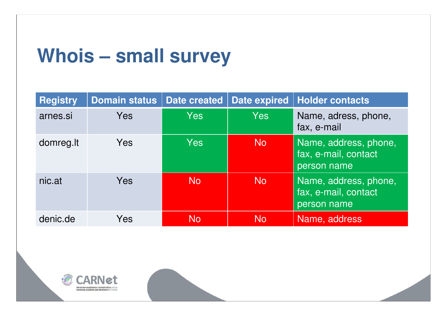#### **Whois – small survey**

| <b>Registry</b> | <b>Domain status</b> | <b>Date created</b> | <b>Date expired</b> | <b>Holder contacts</b>                                       |
|-----------------|----------------------|---------------------|---------------------|--------------------------------------------------------------|
| arnes.si        | Yes                  | Yes                 | Yes                 | Name, adress, phone,<br>fax, e-mail                          |
| domreg.lt       | <b>Yes</b>           | Yes                 | <b>No</b>           | Name, address, phone,<br>fax, e-mail, contact<br>person name |
| nic.at          | Yes                  | <b>No</b>           | <b>No</b>           | Name, address, phone,<br>fax, e-mail, contact<br>person name |
| denic.de        | Yes                  | <b>No</b>           | N <sub>o</sub>      | Name, address                                                |

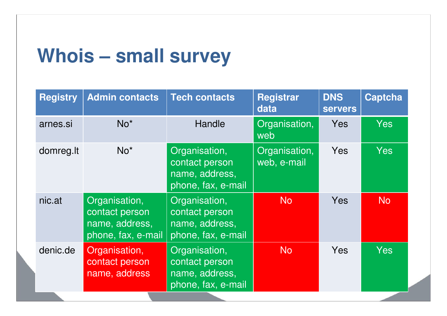#### **Whois – small survey**

| <b>Registry</b> | <b>Admin contacts</b>                                                   | <b>Tech contacts</b>                                                    | <b>Registrar</b><br>data     | <b>DNS</b><br><b>servers</b> | <b>Captcha</b> |
|-----------------|-------------------------------------------------------------------------|-------------------------------------------------------------------------|------------------------------|------------------------------|----------------|
| arnes.si        | $No*$                                                                   | Handle                                                                  | Organisation,<br>web         | <b>Yes</b>                   | <b>Yes</b>     |
| domreg.lt       | $No*$                                                                   | Organisation,<br>contact person<br>name, address,<br>phone, fax, e-mail | Organisation,<br>web, e-mail | <b>Yes</b>                   | <b>Yes</b>     |
| nic.at          | Organisation,<br>contact person<br>name, address,<br>phone, fax, e-mail | Organisation,<br>contact person<br>name, address,<br>phone, fax, e-mail | <b>No</b>                    | <b>Yes</b>                   | N <sub>o</sub> |
| denic.de        | Organisation,<br>contact person<br>name, address                        | Organisation,<br>contact person<br>name, address,<br>phone, fax, e-mail | N <sub>o</sub>               | Yes                          | <b>Yes</b>     |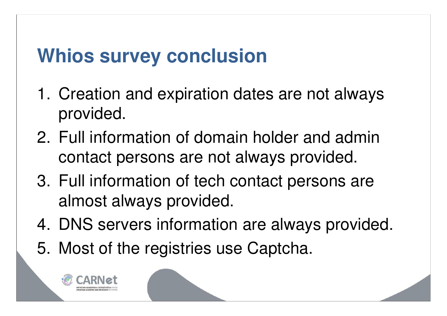## **Whios survey conclusion**

- 1. Creation and expiration dates are not always provided.
- 2. Full information of domain holder and admin contact persons are not always provided.
- 3. Full information of tech contact persons are almost always provided.
- 4. DNS servers information are always provided.
- 5. Most of the registries use Captcha.

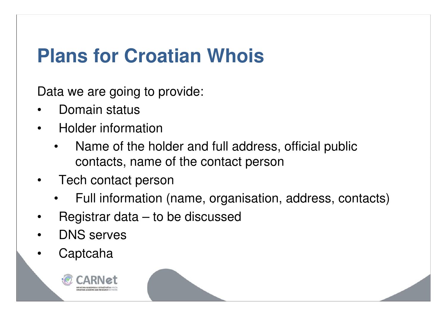## **Plans for Croatian Whois**

Data we are going to provide:

- Domain status
- Holder information
	- Name of the holder and full address, official public contacts, name of the contact person
- Tech contact person
	- Full information (name, organisation, address, contacts)
- Registrar data  $-$  to be discussed
- DNS serves
- Captcaha

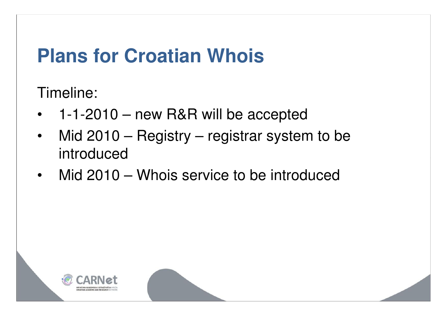#### **Plans for Croatian Whois**

Timeline:

- 1-1-2010 new R&R will be accepted
- Mid 2010 Registry registrar system to be introduced
- Mid 2010 Whois service to be introduced

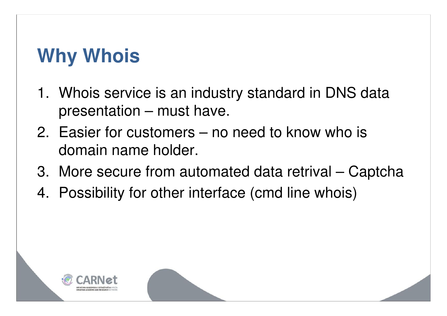# **Why Whois**

- 1. Whois service is an industry standard in DNS data presentation – must have.
- 2. Easier for customers no need to know who is domain name holder.
- 3. More secure from automated data retrival Captcha
- 4. Possibility for other interface (cmd line whois)